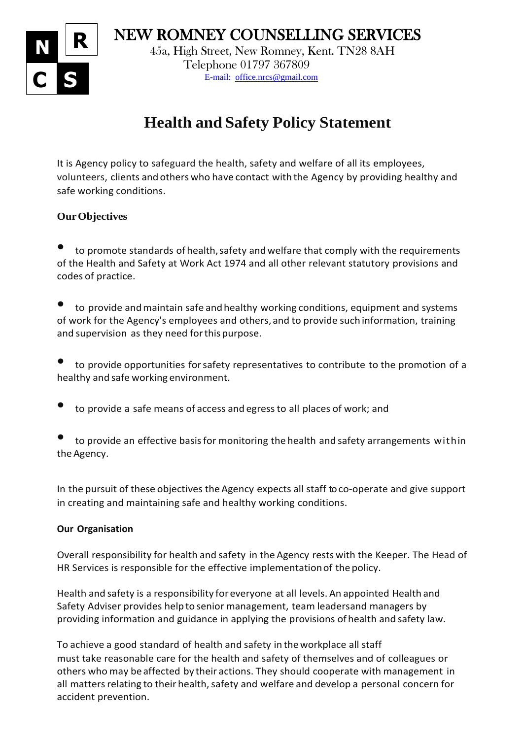NEW ROMNEY COUNSELLING SERVICES



 45a, High Street, New Romney, Kent. TN28 8AH Telephone 01797 367809 E-mail: [office.nrcs@gmail.com](mailto:office.nrcs@gmail.com)

# **Health and Safety Policy Statement**

It is Agency policy to safeguard the health, safety and welfare of all its employees, volunteers, clients and others who have contact with the Agency by providing healthy and safe working conditions.

## **OurObjectives**

to promote standards of health, safety and welfare that comply with the requirements of the Health and Safety at Work Act 1974 and all other relevant statutory provisions and codes of practice.

to provide and maintain safe and healthy working conditions, equipment and systems of work for the Agency's employees and others, and to provide such information, training and supervision as they need forthis purpose.

• to provide opportunities forsafety representatives to contribute to the promotion of <sup>a</sup> healthy and safe working environment.

• to provide <sup>a</sup> safe means of access and egressto all places of work; and

to provide an effective basis for monitoring the health and safety arrangements within the Agency.

In the pursuit of these objectives the Agency expects all staff toco-operate and give support in creating and maintaining safe and healthy working conditions.

### **Our Organisation**

Overall responsibility for health and safety in the Agency rests with the Keeper. The Head of HR Services is responsible for the effective implementationof the policy.

Health and safety is a responsibility for everyone at all levels. An appointed Health and Safety Adviser provides helpto senior management, team leadersand managers by providing information and guidance in applying the provisions of health and safety law.

To achieve a good standard of health and safety in theworkplace all staff must take reasonable care for the health and safety of themselves and of colleagues or others who may beaffected by their actions. They should cooperate with management in all matters relating to their health, safety and welfare and develop a personal concern for accident prevention.